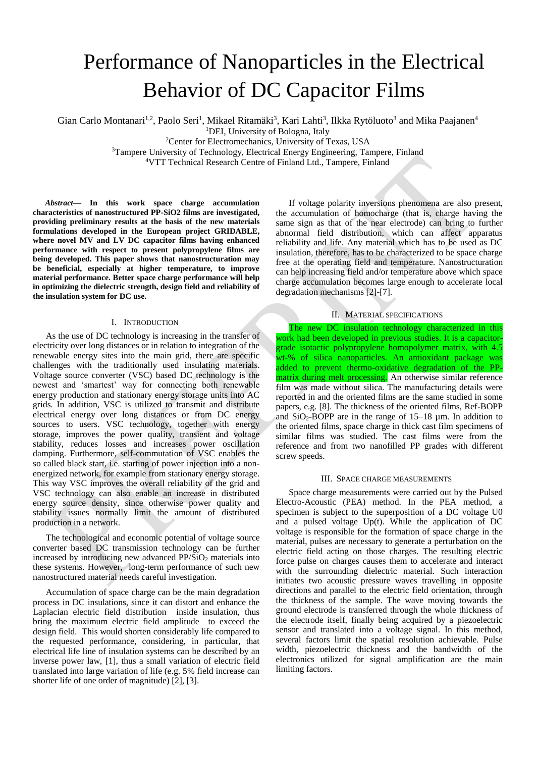# Performance of Nanoparticles in the Electrical Behavior of DC Capacitor Films

Gian Carlo Montanari<sup>1,2</sup>, Paolo Seri<sup>1</sup>, Mikael Ritamäki<sup>3</sup>, Kari Lahti<sup>3</sup>, Ilkka Rytöluoto<sup>3</sup> and Mika Paajanen<sup>4</sup> <sup>1</sup>DEI, University of Bologna, Italy

<sup>2</sup>Center for Electromechanics, University of Texas, USA

<sup>3</sup>Tampere University of Technology, Electrical Energy Engineering, Tampere, Finland

<sup>4</sup>VTT Technical Research Centre of Finland Ltd., Tampere, Finland

*Abstract***— In this work space charge accumulation characteristics of nanostructured PP-SiO2 films are investigated, providing preliminary results at the basis of the new materials formulations developed in the European project GRIDABLE, where novel MV and LV DC capacitor films having enhanced performance with respect to present polypropylene films are being developed. This paper shows that nanostructuration may be beneficial, especially at higher temperature, to improve material performance. Better space charge performance will help in optimizing the dielectric strength, design field and reliability of the insulation system for DC use.**

## I. INTRODUCTION

As the use of DC technology is increasing in the transfer of electricity over long distances or in relation to integration of the renewable energy sites into the main grid, there are specific challenges with the traditionally used insulating materials. Voltage source converter (VSC) based DC technology is the newest and 'smartest' way for connecting both renewable energy production and stationary energy storage units into AC grids. In addition, VSC is utilized to transmit and distribute electrical energy over long distances or from DC energy sources to users. VSC technology, together with energy storage, improves the power quality, transient and voltage stability, reduces losses and increases power oscillation damping. Furthermore, self-commutation of VSC enables the so called black start, i.e. starting of power injection into a nonenergized network, for example from stationary energy storage. This way VSC improves the overall reliability of the grid and VSC technology can also enable an increase in distributed energy source density, since otherwise power quality and stability issues normally limit the amount of distributed production in a network.

The technological and economic potential of voltage source converter based DC transmission technology can be further increased by introducing new advanced  $PP/SiO<sub>2</sub>$  materials into these systems. However, long-term performance of such new nanostructured material needs careful investigation.

Accumulation of space charge can be the main degradation process in DC insulations, since it can distort and enhance the Laplacian electric field distribution inside insulation, thus bring the maximum electric field amplitude to exceed the design field. This would shorten considerably life compared to the requested performance, considering, in particular, that electrical life line of insulation systems can be described by an inverse power law, [\[1\],](#page-3-0) thus a small variation of electric field translated into large variation of life (e.g. 5% field increase can shorter life of one order of magnitude) [\[2\],](#page-3-1) [\[3\].](#page-3-2)

If voltage polarity inversions phenomena are also present, the accumulation of homocharge (that is, charge having the same sign as that of the near electrode) can bring to further abnormal field distribution, which can affect apparatus reliability and life. Any material which has to be used as DC insulation, therefore, has to be characterized to be space charge free at the operating field and temperature. Nanostructuration can help increasing field and/or temperature above which space charge accumulation becomes large enough to accelerate local degradation mechanisms [\[2\]](#page-3-1)[-\[7\].](#page-3-3)

## II. MATERIAL SPECIFICATIONS

The new DC insulation technology characterized in this work had been developed in previous studies. It is a capacitorgrade isotactic polypropylene homopolymer matrix, with 4.5 wt-% of silica nanoparticles. An antioxidant package was added to prevent thermo-oxidative degradation of the PPmatrix during melt processing. An otherwise similar reference film was made without silica. The manufacturing details were reported in and the oriented films are the same studied in some papers, e.g. [\[8\].](#page-3-4) The thickness of the oriented films, Ref-BOPP and  $SiO<sub>2</sub>-BOPP$  are in the range of 15–18  $\mu$ m. In addition to the oriented films, space charge in thick cast film specimens of similar films was studied. The cast films were from the reference and from two nanofilled PP grades with different screw speeds.

### III. SPACE CHARGE MEASUREMENTS

Space charge measurements were carried out by the Pulsed Electro-Acoustic (PEA) method. In the PEA method, a specimen is subject to the superposition of a DC voltage U0 and a pulsed voltage Up(t). While the application of DC voltage is responsible for the formation of space charge in the material, pulses are necessary to generate a perturbation on the electric field acting on those charges. The resulting electric force pulse on charges causes them to accelerate and interact with the surrounding dielectric material. Such interaction initiates two acoustic pressure waves travelling in opposite directions and parallel to the electric field orientation, through the thickness of the sample. The wave moving towards the ground electrode is transferred through the whole thickness of the electrode itself, finally being acquired by a piezoelectric sensor and translated into a voltage signal. In this method, several factors limit the spatial resolution achievable. Pulse width, piezoelectric thickness and the bandwidth of the electronics utilized for signal amplification are the main limiting factors.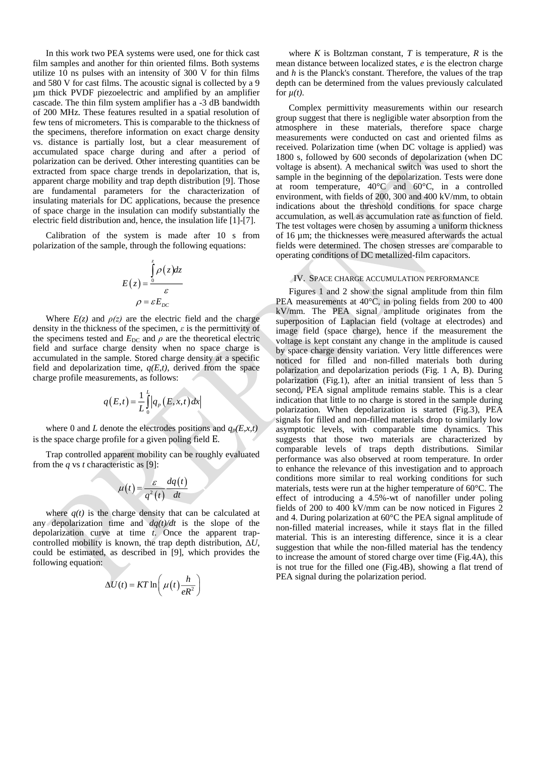In this work two PEA systems were used, one for thick cast film samples and another for thin oriented films. Both systems utilize  $10$  ns pulses with an intensity of 300 V for thin films and 580 V for cast films. The acoustic signal is collected by a 9 µm thick PVDF piezoelectric and amplified by an amplifier cascade. The thin film system amplifier has a -3 dB bandwidth of 200 MHz. These features resulted in a spatial resolution of few tens of micrometers. This is comparable to the thickness of the specimens, therefore information on exact charge density vs. distance is partially lost, but a clear measurement of accumulated space charge during and after a period of polarization can be derived. Other interesting quantities can be extracted from space charge trends in depolarization, that is, apparent charge mobility and trap depth distribution [\[9\].](#page-3-5) Those are fundamental parameters for the characterization of insulating materials for DC applications, because the presence of space charge in the insulation can modify substantially the electric field distribution and, hence, the insulation life [\[1\]](#page-3-0)[-\[7\].](#page-3-3)

Calibration of the system is made after 10 s from polarization of the sample, through the following equations:

$$
E(z) = \frac{\int_{0}^{z} \rho(z)dz}{\varepsilon}
$$

$$
\rho = \varepsilon E_{DC}
$$

Where  $E(z)$  and  $\rho(z)$  are the electric field and the charge density in the thickness of the specimen,  $\varepsilon$  is the permittivity of the specimens tested and  $E_{DC}$  and  $\rho$  are the theoretical electric field and surface charge density when no space charge is accumulated in the sample. Stored charge density at a specific field and depolarization time,  $q(E,t)$ , derived from the space charge profile measurements, as follows:

$$
q(E,t) = \frac{1}{L} \int_{0}^{L} |q_p(E,x,t)| dx
$$

where 0 and *L* denote the electrodes positions and  $q_p(E, x, t)$ is the space charge profile for a given poling field E.

Trap controlled apparent mobility can be roughly evaluated from the *q* vs *t* characteristic as [\[9\]:](#page-3-5)

$$
\mu(t) = \frac{\varepsilon}{q^2(t)} \frac{dq(t)}{dt}
$$

where  $q(t)$  is the charge density that can be calculated at any depolarization time and *dq(t)/dt* is the slope of the depolarization curve at time *t*. Once the apparent trapcontrolled mobility is known, the trap depth distribution, Δ*U*, could be estimated, as described in [\[9\],](#page-3-5) which provides the following equation:

$$
\Delta U(t) = KT \ln \left( \mu(t) \frac{h}{eR^2} \right)
$$

where  $K$  is Boltzman constant,  $T$  is temperature,  $R$  is the mean distance between localized states, *e* is the electron charge and *h* is the Planck's constant. Therefore, the values of the trap depth can be determined from the values previously calculated for  $\mu(t)$ .

Complex permittivity measurements within our research group suggest that there is negligible water absorption from the atmosphere in these materials, therefore space charge measurements were conducted on cast and oriented films as received. Polarization time (when DC voltage is applied) was 1800 s, followed by 600 seconds of depolarization (when DC voltage is absent). A mechanical switch was used to short the sample in the beginning of the depolarization. Tests were done at room temperature, 40°C and 60°C, in a controlled environment, with fields of 200, 300 and 400 kV/mm, to obtain indications about the threshold conditions for space charge accumulation, as well as accumulation rate as function of field. The test voltages were chosen by assuming a uniform thickness of 16 µm; the thicknesses were measured afterwards the actual fields were determined. The chosen stresses are comparable to operating conditions of DC metallized-film capacitors.

### IV. SPACE CHARGE ACCUMULATION PERFORMANCE

Figures 1 and 2 show the signal amplitude from thin film PEA measurements at 40°C, in poling fields from 200 to 400 kV/mm. The PEA signal amplitude originates from the superposition of Laplacian field (voltage at electrodes) and image field (space charge), hence if the measurement the voltage is kept constant any change in the amplitude is caused by space charge density variation. Very little differences were noticed for filled and non-filled materials both during polarization and depolarization periods (Fig. 1 A, B). During polarization (Fig.1), after an initial transient of less than 5 second, PEA signal amplitude remains stable. This is a clear indication that little to no charge is stored in the sample during polarization. When depolarization is started (Fig.3), PEA signals for filled and non-filled materials drop to similarly low asymptotic levels, with comparable time dynamics. This suggests that those two materials are characterized by comparable levels of traps depth distributions. Similar performance was also observed at room temperature. In order to enhance the relevance of this investigation and to approach conditions more similar to real working conditions for such materials, tests were run at the higher temperature of 60°C. The effect of introducing a 4.5%-wt of nanofiller under poling fields of 200 to 400 kV/mm can be now noticed in Figures 2 and 4. During polarization at 60°C the PEA signal amplitude of non-filled material increases, while it stays flat in the filled material. This is an interesting difference, since it is a clear suggestion that while the non-filled material has the tendency to increase the amount of stored charge over time (Fig.4A), this is not true for the filled one (Fig.4B), showing a flat trend of PEA signal during the polarization period.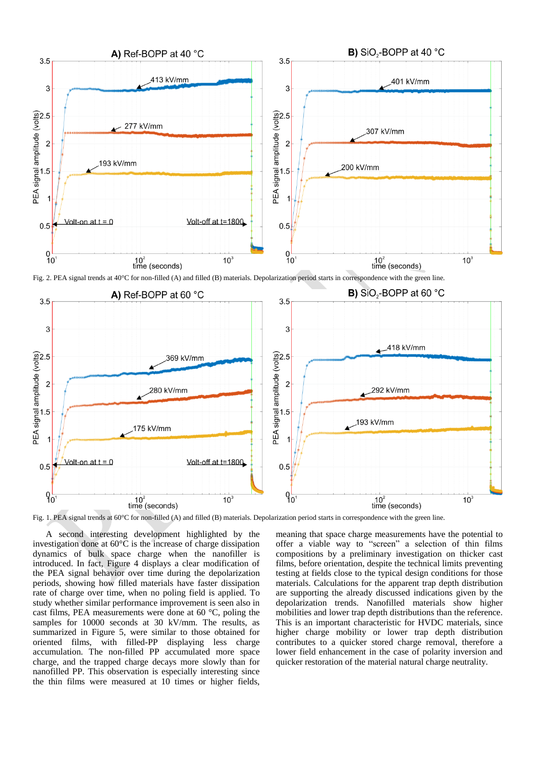

Fig. 2. PEA signal trends at 40°C for non-filled (A) and filled (B) materials. Depolarization period starts in correspondence with the green line.



Fig. 1. PEA signal trends at 60°C for non-filled (A) and filled (B) materials. Depolarization period starts in correspondence with the green line.

A second interesting development highlighted by the investigation done at 60°C is the increase of charge dissipation dynamics of bulk space charge when the nanofiller is introduced. In fact, Figure 4 displays a clear modification of the PEA signal behavior over time during the depolarization periods, showing how filled materials have faster dissipation rate of charge over time, when no poling field is applied. To study whether similar performance improvement is seen also in cast films, PEA measurements were done at 60 °C, poling the samples for 10000 seconds at 30 kV/mm. The results, as summarized in Figure 5, were similar to those obtained for oriented films, with filled-PP displaying less charge accumulation. The non-filled PP accumulated more space charge, and the trapped charge decays more slowly than for nanofilled PP. This observation is especially interesting since the thin films were measured at 10 times or higher fields,

meaning that space charge measurements have the potential to offer a viable way to "screen" a selection of thin films compositions by a preliminary investigation on thicker cast films, before orientation, despite the technical limits preventing testing at fields close to the typical design conditions for those materials. Calculations for the apparent trap depth distribution are supporting the already discussed indications given by the depolarization trends. Nanofilled materials show higher mobilities and lower trap depth distributions than the reference. This is an important characteristic for HVDC materials, since higher charge mobility or lower trap depth distribution contributes to a quicker stored charge removal, therefore a lower field enhancement in the case of polarity inversion and quicker restoration of the material natural charge neutrality.